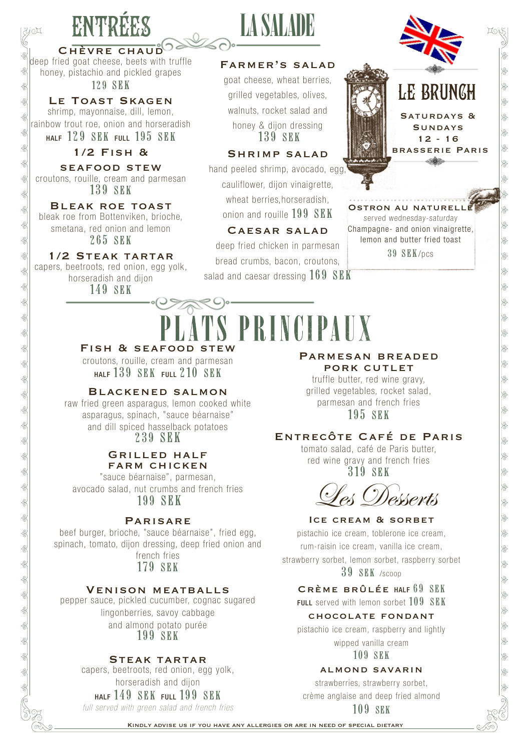## ENTRÉES

jo¤

CHÈVRE CHAUD deep fried goat cheese, beets with truffle honey, pistachio and pickled grapes 129 SEK

LE TOAST SKAGEN shrimp, mayonnaise, dill, lemon, rainbow trout roe, onion and horseradish HALF 129 SEK FULL 195 SEK

#### 1/2 Fish &

seafood stew croutons, rouille, cream and parmesan 139 SEK

Bleak roe toast bleak roe from Bottenviken, brioche, smetana, red onion and lemon

265 SEK

#### 1/2 Steak tartar

capers, beetroots, red onion, egg yolk, horseradish and dijon

149 SEK

## LA SALADE

#### Farmer's salad

goat cheese, wheat berries, grilled vegetables, olives, walnuts, rocket salad and honey & dijon dressing 139 SEK

#### Shrimp salad

hand peeled shrimp, avocado, egg, cauliflower, dijon vinaigrette, wheat berries,horseradish, onion and rouille 199 SEK

#### Caesar salad

deep fried chicken in parmesan bread crumbs, bacon, croutons, salad and caesar dressing  $169$  SEK



OSTRON AU NATURELL served wednesday-saturday Champagne- and onion vinaigrette, lemon and butter fried toast 39 SEK/pcs

# PLATS PRINCIPAUX

croutons, rouille, cream and parmesan  $H = 139$  SEK  $F = 210$  SEK

#### Blackened salmon

raw fried green asparagus, lemon cooked white asparagus, spinach, "sauce béarnaise" and dill spiced hasselback potatoes 239 SEK

#### Grilled half farm chicken

"sauce béarnaise", parmesan, avocado salad, nut crumbs and french fries 199 SEK

#### **PARISARE**

beef burger, brioche, "sauce béarnaise", fried egg, spinach, tomato, dijon dressing, deep fried onion and french fries

179 SEK

#### Venison meatballs

pepper sauce, pickled cucumber, cognac sugared lingonberries, savoy cabbage and almond potato purée 199 SEK

#### Steak tartar

capers, beetroots, red onion, egg yolk, horseradish and dijon

HALF 149 SEK FULL 199 SEK

*full served with green salad and french fries*

#### Parmesan breaded PORK CUTLET

truffle butter, red wine gravy, grilled vegetables, rocket salad, parmesan and french fries 195 SEK

### Entrecôte Café de Paris

tomato salad, café de Paris butter, red wine gravy and french fries 319 SEK

Les Desserts

#### ICE CREAM & SORBET

pistachio ice cream, toblerone ice cream, rum-raisin ice cream, vanilla ice cream, strawberry sorbet, lemon sorbet, raspberry sorbet 39 SEK /scoop

#### Crème brûlée HALF 69 SEK

FULL served with lemon sorbet 109 SEK

#### chocolate fondant

pistachio ice cream, raspberry and lightly wipped vanilla cream

109 SEK

#### almond savarin

strawberries, strawberry sorbet,

crème anglaise and deep fried almond

109 SEK

Kindly advise us if you have any allergies or are in need of special dietary